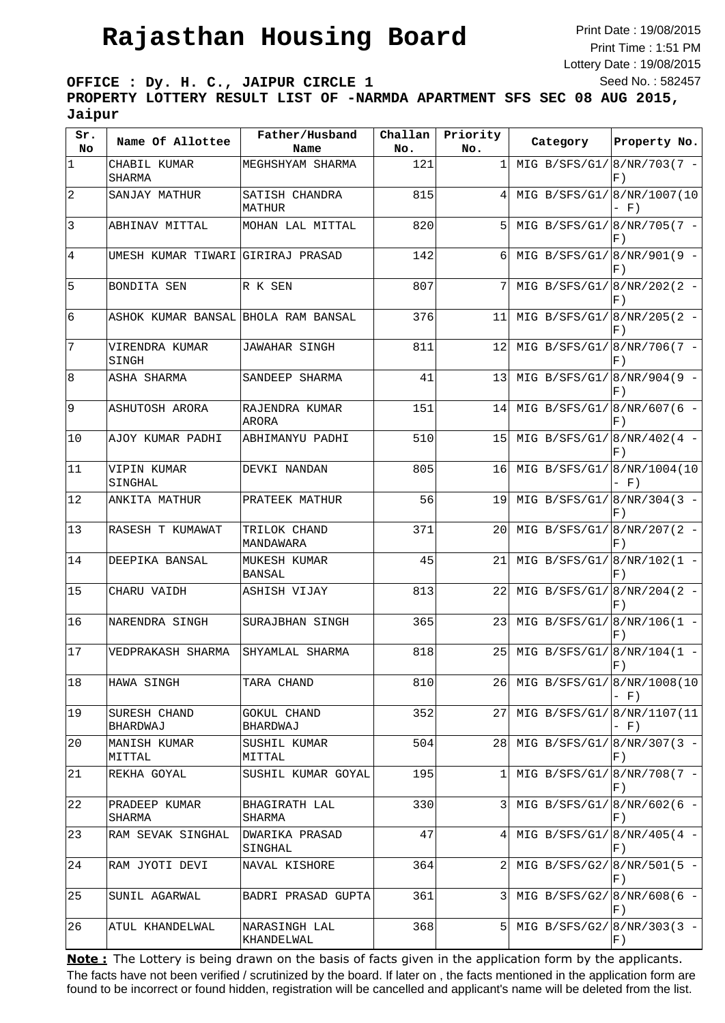## **Rajasthan Housing Board**

Print Date : 19/08/2015 Print Time : 1:51 PM Lottery Date : 19/08/2015 Seed No. : 582457

**OFFICE : Dy. H. C., JAIPUR CIRCLE 1 PROPERTY LOTTERY RESULT LIST OF -NARMDA APARTMENT SFS SEC 08 AUG 2015, Jaipur**

| Sr.<br>No      | Name Of Allottee                    | Father/Husband<br>Name         | Challan<br>No. | Priority<br>No. | Category                      | Property No.         |
|----------------|-------------------------------------|--------------------------------|----------------|-----------------|-------------------------------|----------------------|
| $\mathbf 1$    | CHABIL KUMAR<br>SHARMA              | MEGHSHYAM SHARMA               | 121            | 1               | MIG B/SFS/G1/8/NR/703(7 -     | F)                   |
| $\overline{2}$ | SANJAY MATHUR                       | SATISH CHANDRA<br>MATHUR       | 815            | 4               | MIG $B/SFS/G1/[8/NR/1007(10$  | $-$ F)               |
| 3              | ABHINAV MITTAL                      | MOHAN LAL MITTAL               | 820            | 5               | MIG B/SFS/G1/8/NR/705(7 -     | F)                   |
| $\overline{4}$ | UMESH KUMAR TIWARI GIRIRAJ PRASAD   |                                | 142            | 6               | MIG B/SFS/G1/8/NR/901(9 -     | F)                   |
| 5              | BONDITA SEN                         | R K SEN                        | 807            | 7               | MIG B/SFS/G1/ $ 8/NR/202(2 -$ | F)                   |
| 6              | ASHOK KUMAR BANSAL BHOLA RAM BANSAL |                                | 376            | 11              | MIG B/SFS/G1/ $ 8/NR/205(2 -$ | F)                   |
| 7              | VIRENDRA KUMAR<br>SINGH             | JAWAHAR SINGH                  | 811            | 12              | MIG B/SFS/G1/8/NR/706(7 -     | F)                   |
| 8              | ASHA SHARMA                         | SANDEEP SHARMA                 | 41             | 13              | MIG B/SFS/G1/8/NR/904(9 -     | F)                   |
| 9              | ASHUTOSH ARORA                      | RAJENDRA KUMAR<br>ARORA        | 151            | 14              | MIG B/SFS/G1/8/NR/607(6 -     | F)                   |
| 10             | AJOY KUMAR PADHI                    | ABHIMANYU PADHI                | 510            | 15              | MIG B/SFS/G1/ $ 8/NR/402(4 -$ | F)                   |
| 11             | VIPIN KUMAR<br>SINGHAL              | DEVKI NANDAN                   | 805            | 16              | MIG B/SFS/G1/                 | 8/NR/1004(10<br>- F) |
| 12             | ANKITA MATHUR                       | PRATEEK MATHUR                 | 56             | 19              | MIG B/SFS/G1/8/NR/304(3 -     | F)                   |
| 13             | RASESH T KUMAWAT                    | TRILOK CHAND<br>MANDAWARA      | 371            | 20              | MIG B/SFS/G1/8/NR/207(2 -     | F)                   |
| 14             | DEEPIKA BANSAL                      | MUKESH KUMAR<br>BANSAL         | 45             | 21              | MIG B/SFS/G1/ $ 8/NR/102(1 -$ | F)                   |
| 15             | CHARU VAIDH                         | ASHISH VIJAY                   | 813            | 22              | MIG B/SFS/G1/ $ 8/NR/204(2 -$ | F)                   |
| 16             | NARENDRA SINGH                      | SURAJBHAN SINGH                | 365            | 23              | MIG B/SFS/G1/8/NR/106(1 -     | F)                   |
| 17             | VEDPRAKASH SHARMA                   | SHYAMLAL SHARMA                | 818            | 25              | MIG B/SFS/G1/ $ 8/NR/104(1 -$ | F)                   |
| 18             | HAWA SINGH                          | TARA CHAND                     | 810            | 261             | MIG B/SFS/G1/8/NR/1008(10     | $- F)$               |
| 19             | SURESH CHAND<br>BHARDWAJ            | <b>GOKUL CHAND</b><br>BHARDWAJ | 352            | 27              | MIG B/SFS/G1/8/NR/1107(11     | $- F)$               |
| 20             | MANISH KUMAR<br>MITTAL              | SUSHIL KUMAR<br>MITTAL         | 504            | 28              | MIG B/SFS/G1/ $ 8/NR/307(3 -$ | $F$ )                |
| 21             | REKHA GOYAL                         | SUSHIL KUMAR GOYAL             | 195            | 1               | MIG B/SFS/G1/8/NR/708(7 -     | F)                   |
| 22             | PRADEEP KUMAR<br>SHARMA             | BHAGIRATH LAL<br>SHARMA        | 330            | 3               | MIG B/SFS/G1/ $ 8/NR/602(6 -$ | F)                   |
| 23             | RAM SEVAK SINGHAL                   | DWARIKA PRASAD<br>SINGHAL      | 47             | 4               | MIG B/SFS/G1/ $ 8/NR/405(4 -$ | F)                   |
| 24             | RAM JYOTI DEVI                      | NAVAL KISHORE                  | 364            | 2               | MIG B/SFS/G2/ $8/NR/501(5 -$  | F)                   |
| 25             | SUNIL AGARWAL                       | BADRI PRASAD GUPTA             | 361            |                 | MIG B/SFS/G2/ $ 8/NR/608(6 -$ | F)                   |
| 26             | ATUL KHANDELWAL                     | NARASINGH LAL<br>KHANDELWAL    | 368            | 5 <sup>1</sup>  | MIG B/SFS/G2/ $ 8/NR/303(3 -$ | $F$ )                |

The facts have not been verified / scrutinized by the board. If later on , the facts mentioned in the application form are found to be incorrect or found hidden, registration will be cancelled and applicant's name will be deleted from the list. **Note:** The Lottery is being drawn on the basis of facts given in the application form by the applicants.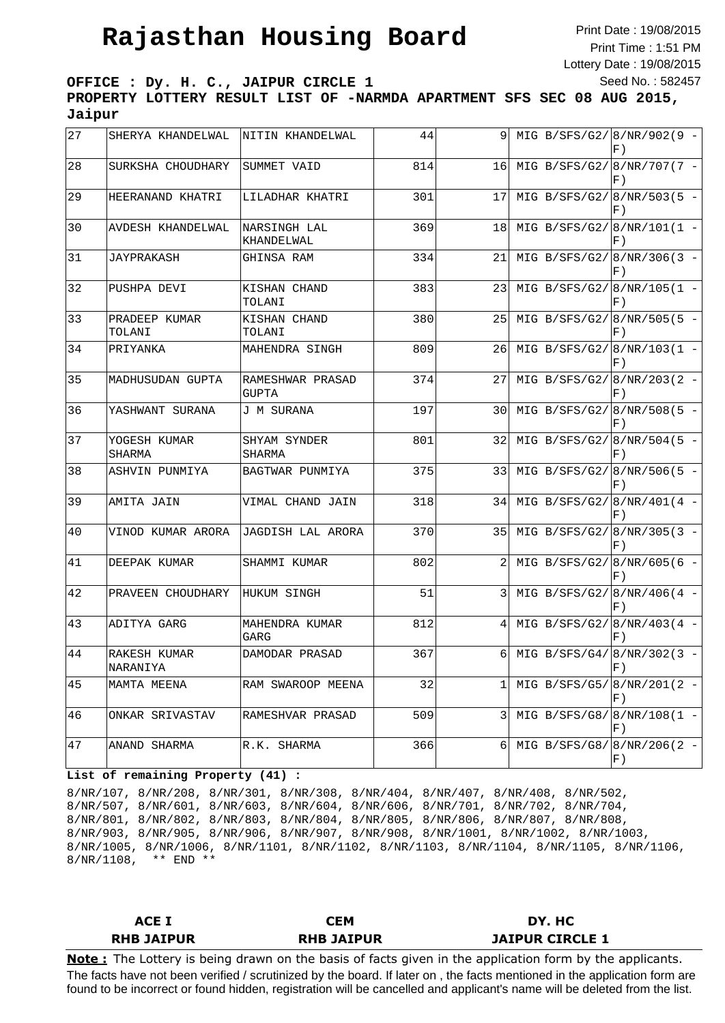## **Rajasthan Housing Board**

Print Date : 19/08/2015 Print Time : 1:51 PM Lottery Date : 19/08/2015 Seed No. : 582457

**OFFICE : Dy. H. C., JAIPUR CIRCLE 1**

**PROPERTY LOTTERY RESULT LIST OF -NARMDA APARTMENT SFS SEC 08 AUG 2015, Jaipur**

| 27 | SHERYA KHANDELWAL        | NITIN KHANDELWAL           | 44  | 9              | MIG B/SFS/G2/8/NR/902(9 -<br>F)       |
|----|--------------------------|----------------------------|-----|----------------|---------------------------------------|
| 28 | SURKSHA CHOUDHARY        | SUMMET VAID                | 814 | 16             | MIG B/SFS/G2/8/NR/707(7 -<br>F)       |
| 29 | HEERANAND KHATRI         | LILADHAR KHATRI            | 301 | 17             | MIG B/SFS/G2/8/NR/503(5 -<br>F)       |
| 30 | AVDESH KHANDELWAL        | NARSINGH LAL<br>KHANDELWAL | 369 | 18             | MIG B/SFS/G2/ $ 8/NR/101(1 -$<br>F)   |
| 31 | JAYPRAKASH               | GHINSA RAM                 | 334 | 21             | MIG B/SFS/G2/8/NR/306(3 -<br>F)       |
| 32 | PUSHPA DEVI              | KISHAN CHAND<br>TOLANI     | 383 | 23             | MIG B/SFS/G2/8/NR/105(1 -<br>F)       |
| 33 | PRADEEP KUMAR<br>TOLANI  | KISHAN CHAND<br>TOLANI     | 380 | 25             | MIG B/SFS/G2/8/NR/505(5 -<br>F)       |
| 34 | PRIYANKA                 | MAHENDRA SINGH             | 809 | 26             | MIG B/SFS/G2/8/NR/103(1 -<br>F)       |
| 35 | MADHUSUDAN GUPTA         | RAMESHWAR PRASAD<br>GUPTA  | 374 | 27             | MIG B/SFS/G2/8/NR/203(2 -<br>F)       |
| 36 | YASHWANT SURANA          | J M SURANA                 | 197 | 30             | MIG B/SFS/G2/8/NR/508(5 -<br>F)       |
| 37 | YOGESH KUMAR<br>SHARMA   | SHYAM SYNDER<br>SHARMA     | 801 | 32             | MIG B/SFS/G2/8/NR/504(5 -<br>F)       |
| 38 | ASHVIN PUNMIYA           | BAGTWAR PUNMIYA            | 375 | 33             | MIG B/SFS/G2/ $8/NR/506(5 -$<br>$F$ ) |
| 39 | AMITA JAIN               | VIMAL CHAND JAIN           | 318 | 34             | MIG B/SFS/G2/ $8/NR/401(4 -$<br>F)    |
| 40 | VINOD KUMAR ARORA        | JAGDISH LAL ARORA          | 370 | 35             | MIG B/SFS/G2/ 8/NR/305(3 -<br>F)      |
| 41 | DEEPAK KUMAR             | SHAMMI KUMAR               | 802 | 2              | MIG B/SFS/G2/ $ 8/NR/605(6 -$<br>F)   |
| 42 | PRAVEEN CHOUDHARY        | HUKUM SINGH                | 51  | 3              | MIG B/SFS/G2/8/NR/406(4 -<br>F)       |
| 43 | ADITYA GARG              | MAHENDRA KUMAR<br>GARG     | 812 | 4              | MIG B/SFS/G2/8/NR/403(4 -<br>F)       |
| 44 | RAKESH KUMAR<br>NARANIYA | DAMODAR PRASAD             | 367 | 6              | MIG B/SFS/G4/ $8/NR/302(3 -$<br>$F$ ) |
| 45 | MAMTA MEENA              | RAM SWAROOP MEENA          | 32  | 1              | MIG B/SFS/G5/ $ 8/NR/201(2 -$<br>F)   |
| 46 | ONKAR SRIVASTAV          | RAMESHVAR PRASAD           | 509 | $\overline{3}$ | MIG B/SFS/G8/ $8/NR/108(1 -$<br>F)    |
| 47 | ANAND SHARMA             | R.K. SHARMA                | 366 | 6              | MIG B/SFS/G8/ $8/NR/206(2 -$<br>F)    |

## **List of remaining Property (41) :**

8/NR/107, 8/NR/208, 8/NR/301, 8/NR/308, 8/NR/404, 8/NR/407, 8/NR/408, 8/NR/502, 8/NR/507, 8/NR/601, 8/NR/603, 8/NR/604, 8/NR/606, 8/NR/701, 8/NR/702, 8/NR/704, 8/NR/801, 8/NR/802, 8/NR/803, 8/NR/804, 8/NR/805, 8/NR/806, 8/NR/807, 8/NR/808, 8/NR/903, 8/NR/905, 8/NR/906, 8/NR/907, 8/NR/908, 8/NR/1001, 8/NR/1002, 8/NR/1003, 8/NR/1005, 8/NR/1006, 8/NR/1101, 8/NR/1102, 8/NR/1103, 8/NR/1104, 8/NR/1105, 8/NR/1106, 8/NR/1108, \*\* END \*\*

| <b>ACE I</b>      | СЕМ               | DY. HC                 |
|-------------------|-------------------|------------------------|
| <b>RHB JAIPUR</b> | <b>RHB JAIPUR</b> | <b>JAIPUR CIRCLE 1</b> |

The facts have not been verified / scrutinized by the board. If later on , the facts mentioned in the application form are found to be incorrect or found hidden, registration will be cancelled and applicant's name will be deleted from the list. **Note :** The Lottery is being drawn on the basis of facts given in the application form by the applicants.